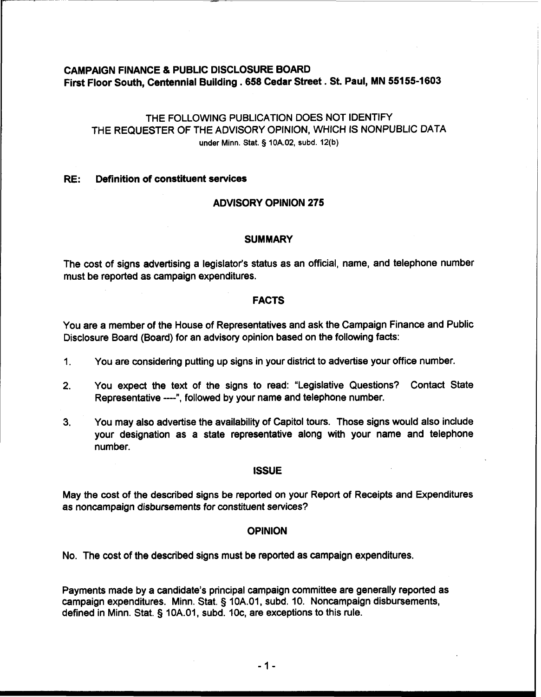# CAMPAIGN FINANCE & PUBLIC DISCLOSURE BOARD First Floor South, Centennial Building **.658** Cedar Street. St. Paul, MN **55155-1603**

# THE FOLLOWING PUBLICATION DOES NOT IDENTIFY THE REQUESTER OF THE ADVISORY OPINION, WHICH IS NONPUBLIC DATA **under Minn.** Stat. § **10A.02, subd. 12(b)**

#### RE: Definition of constituent services

### ADVISORY OPINION **275**

#### **SUMMARY**

The cost of signs advertising a legislator's status as an official, name, and telephone number must be reported as campaign expenditures.

#### FACTS

You are a member of the House of Representatives and ask the Campaign Finance and Public Disclosure Board (Board) for an advisory opinion based on the following facts:

- 1. You are considering putting up signs in your district to advertise your office number.
- **2.** You expect the text of the signs to read: "Legislative Questions? Contact State Representative ----", followed by your name and telephone number.
- **3.** You may also advertise the availability of Capitol tours. Those signs would also include your designation as a state representative along with your name and telephone number.

#### ISSUE

May the cost of the described signs be reported on your Report of Receipts and Expenditures as noncampaign disbursements for constituent services?

#### **OPINION**

No. The cost of the described signs must be reported as campaign expenditures.

Payments made by a candidate's principal campaign committee are generally reported as campaign expenditures. Minn. Stat. § 10A.O1, subd. 10. Noncampaign disbursements, defined in Minn. Stat. § 10A.01, subd. IOc, are exceptions to this rule.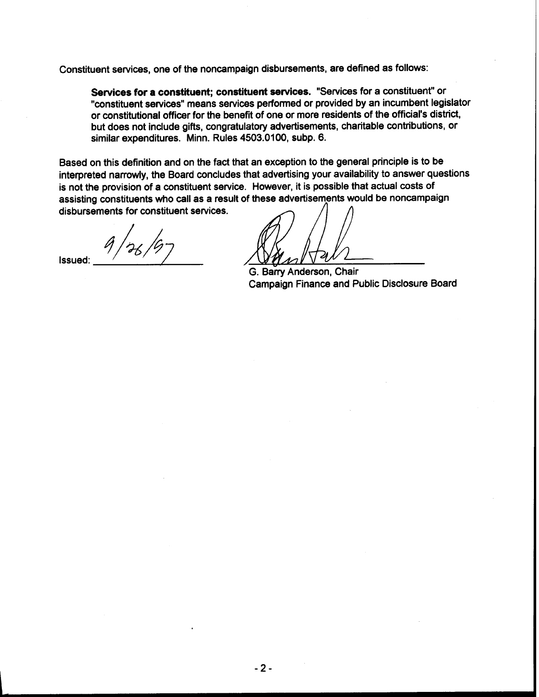Constituent services, one of the noncampaign disbursements, are defined as follows:

**Services for a constituent; constituent sewices.** "Services for a constituent" or "constituent services" means services performed or provided by an incumbent legislator or constitutional officer for the benefit of one or more residents of the official's district, but does not include gifts, congratulatory advertisements, charitable contributions, or similar expenditures. Minn. Rules 4503.0100, subp. 6.

Based on this definition and on the fact that an exception to the general principle is to be interpreted narrowly, the Board concludes that advertising your availability to answer questions is not the provision of a constituent service. However, it is possible that actual costs of assisting constituents who call as a result of these advertisements would be noncampaign disbursements for constituent services. Constituent services, one of the noncampaign disbursements, are defined as follows:<br>
Services for a constituent; constituent services. "Services for a constituent"<br>
"constitutional officer for the benefit of one or more re

G. Barry Anderson, Chair Campaign Finance and Public Disclosure Board